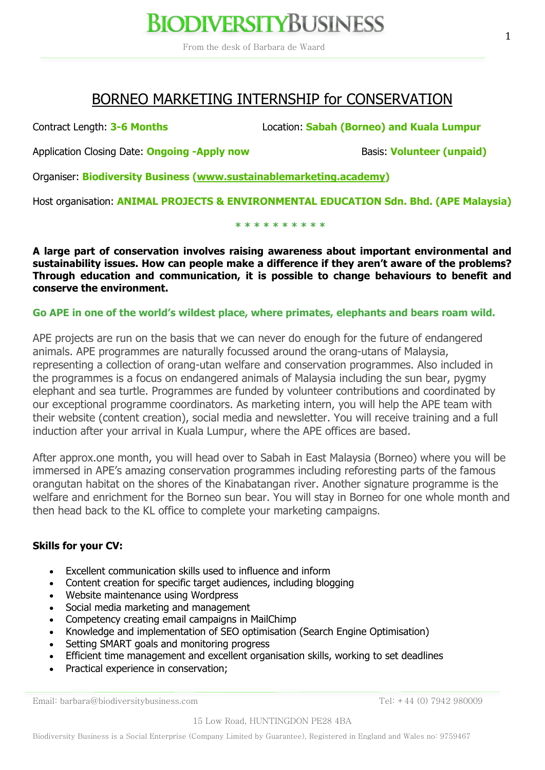## **BIODIVERSITYBUSINESS**

From the desk of Barbara de Waard

### BORNEO MARKETING INTERNSHIP for CONSERVATION

Contract Length: **3-6 Months** Location: **Sabah (Borneo) and Kuala Lumpur**

Application Closing Date: **Ongoing -Apply now Basis: Volunteer (unpaid)** 

Organiser: **Biodiversity Business (www.sustainablemarketing.academy)**

Host organisation: **ANIMAL PROJECTS & ENVIRONMENTAL EDUCATION Sdn. Bhd. (APE Malaysia)**

**\* \* \* \* \* \* \* \* \* \***

**A large part of conservation involves raising awareness about important environmental and sustainability issues. How can people make a difference if they aren't aware of the problems? Through education and communication, it is possible to change behaviours to benefit and conserve the environment.** 

#### **Go APE in one of the world's wildest place, where primates, elephants and bears roam wild.**

APE projects are run on the basis that we can never do enough for the future of endangered animals. APE programmes are naturally focussed around the orang-utans of Malaysia, representing a collection of orang-utan welfare and conservation programmes. Also included in the programmes is a focus on endangered animals of Malaysia including the sun bear, pygmy elephant and sea turtle. Programmes are funded by volunteer contributions and coordinated by our exceptional programme coordinators. As marketing intern, you will help the APE team with their website (content creation), social media and newsletter. You will receive training and a full induction after your arrival in Kuala Lumpur, where the APE offices are based.

After approx.one month, you will head over to Sabah in East Malaysia (Borneo) where you will be immersed in APE's amazing conservation programmes including reforesting parts of the famous orangutan habitat on the shores of the Kinabatangan river. Another signature programme is the welfare and enrichment for the Borneo sun bear. You will stay in Borneo for one whole month and then head back to the KL office to complete your marketing campaigns.

#### **Skills for your CV:**

- Excellent communication skills used to influence and inform
- Content creation for specific target audiences, including blogging
- Website maintenance using Wordpress
- Social media marketing and management
- Competency creating email campaigns in MailChimp
- Knowledge and implementation of SEO optimisation (Search Engine Optimisation)
- Setting SMART goals and monitoring progress
- Efficient time management and excellent organisation skills, working to set deadlines
- Practical experience in conservation;

Email: barbara@biodiversitybusiness.com Tel: +44 (0) 7942 980009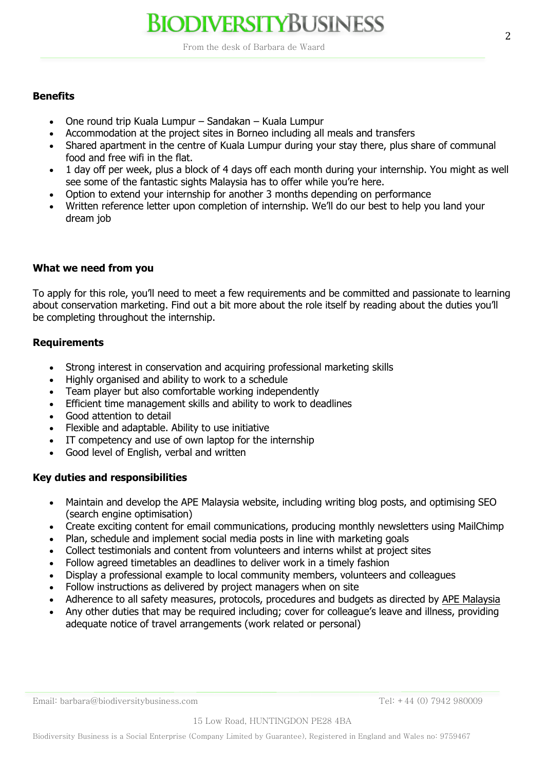# **BIODIVERSITYBUSINESS**

From the desk of Barbara de Waard

#### **Benefits**

- One round trip Kuala Lumpur Sandakan Kuala Lumpur
- Accommodation at the project sites in Borneo including all meals and transfers
- Shared apartment in the centre of Kuala Lumpur during your stay there, plus share of communal food and free wifi in the flat.
- 1 day off per week, plus a block of 4 days off each month during your internship. You might as well see some of the fantastic sights Malaysia has to offer while you're here.
- Option to extend your internship for another 3 months depending on performance
- Written reference letter upon completion of internship. We'll do our best to help you land your dream job

#### **What we need from you**

To apply for this role, you'll need to meet a few requirements and be committed and passionate to learning about conservation marketing. Find out a bit more about the role itself by reading about the duties you'll be completing throughout the internship.

#### **Requirements**

- Strong interest in conservation and acquiring professional marketing skills
- Highly organised and ability to work to a schedule
- Team player but also comfortable working independently
- Efficient time management skills and ability to work to deadlines
- Good attention to detail
- Flexible and adaptable. Ability to use initiative
- IT competency and use of own laptop for the internship
- Good level of English, verbal and written

#### **Key duties and responsibilities**

- Maintain and develop the APE Malaysia website, including writing blog posts, and optimising SEO (search engine optimisation)
- Create exciting content for email communications, producing monthly newsletters using MailChimp
- Plan, schedule and implement social media posts in line with marketing goals
- Collect testimonials and content from volunteers and interns whilst at project sites
- Follow agreed timetables an deadlines to deliver work in a timely fashion
- Display a professional example to local community members, volunteers and colleagues
- Follow instructions as delivered by project managers when on site
- Adherence to all safety measures, protocols, procedures and budgets as directed by APE Malaysia
- Any other duties that may be required including; cover for colleague's leave and illness, providing adequate notice of travel arrangements (work related or personal)